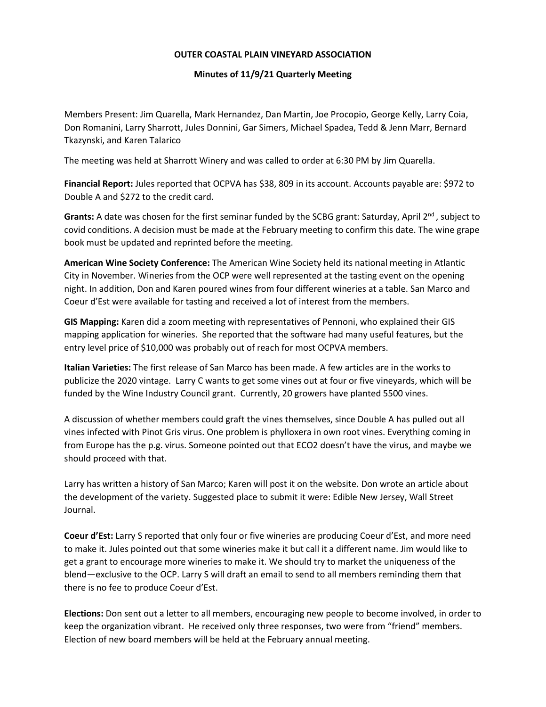## **OUTER COASTAL PLAIN VINEYARD ASSOCIATION**

## **Minutes of 11/9/21 Quarterly Meeting**

Members Present: Jim Quarella, Mark Hernandez, Dan Martin, Joe Procopio, George Kelly, Larry Coia, Don Romanini, Larry Sharrott, Jules Donnini, Gar Simers, Michael Spadea, Tedd & Jenn Marr, Bernard Tkazynski, and Karen Talarico

The meeting was held at Sharrott Winery and was called to order at 6:30 PM by Jim Quarella.

**Financial Report:** Jules reported that OCPVA has \$38, 809 in its account. Accounts payable are: \$972 to Double A and \$272 to the credit card.

Grants: A date was chosen for the first seminar funded by the SCBG grant: Saturday, April 2<sup>nd</sup>, subject to covid conditions. A decision must be made at the February meeting to confirm this date. The wine grape book must be updated and reprinted before the meeting.

**American Wine Society Conference:** The American Wine Society held its national meeting in Atlantic City in November. Wineries from the OCP were well represented at the tasting event on the opening night. In addition, Don and Karen poured wines from four different wineries at a table. San Marco and Coeur d'Est were available for tasting and received a lot of interest from the members.

**GIS Mapping:** Karen did a zoom meeting with representatives of Pennoni, who explained their GIS mapping application for wineries. She reported that the software had many useful features, but the entry level price of \$10,000 was probably out of reach for most OCPVA members.

**Italian Varieties:** The first release of San Marco has been made. A few articles are in the works to publicize the 2020 vintage. Larry C wants to get some vines out at four or five vineyards, which will be funded by the Wine Industry Council grant. Currently, 20 growers have planted 5500 vines.

A discussion of whether members could graft the vines themselves, since Double A has pulled out all vines infected with Pinot Gris virus. One problem is phylloxera in own root vines. Everything coming in from Europe has the p.g. virus. Someone pointed out that ECO2 doesn't have the virus, and maybe we should proceed with that.

Larry has written a history of San Marco; Karen will post it on the website. Don wrote an article about the development of the variety. Suggested place to submit it were: Edible New Jersey, Wall Street Journal.

**Coeur d'Est:** Larry S reported that only four or five wineries are producing Coeur d'Est, and more need to make it. Jules pointed out that some wineries make it but call it a different name. Jim would like to get a grant to encourage more wineries to make it. We should try to market the uniqueness of the blend—exclusive to the OCP. Larry S will draft an email to send to all members reminding them that there is no fee to produce Coeur d'Est.

**Elections:** Don sent out a letter to all members, encouraging new people to become involved, in order to keep the organization vibrant. He received only three responses, two were from "friend" members. Election of new board members will be held at the February annual meeting.